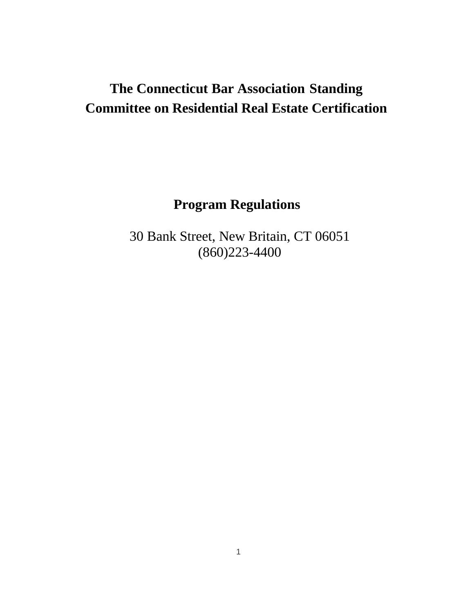# **The Connecticut Bar Association Standing Committee on Residential Real Estate Certification**

**Program Regulations**

30 Bank Street, New Britain, CT 06051 (860)223-4400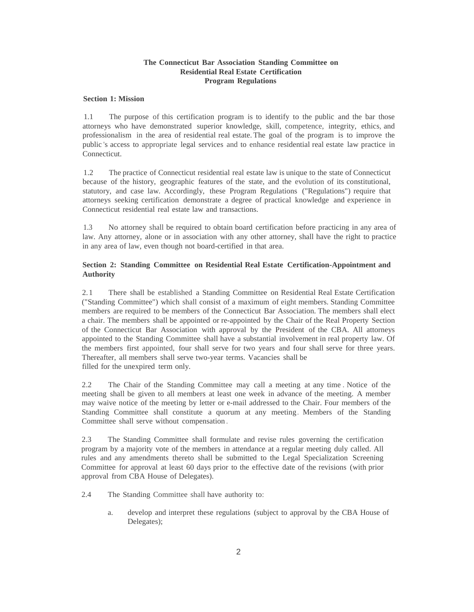# **The Connecticut Bar Association Standing Committee on Residential Real Estate Certification Program Regulations**

## **Section 1: Mission**

1.1 The purpose of this certification program is to identify to the public and the bar those attorneys who have demonstrated superior knowledge, skill, competence, integrity, ethics, and professionalism in the area of residential real estate. The goal of the program is to improve the public 's access to appropriate legal services and to enhance residential real estate law practice in Connecticut.

1.2 The practice of Connecticut residential real estate law is unique to the state of Connecticut because of the history, geographic features of the state, and the evolution of its constitutional, statutory, and case law. Accordingly, these Program Regulations ("Regulations") require that attorneys seeking certification demonstrate a degree of practical knowledge and experience in Connecticut residential real estate law and transactions.

1.3 No attorney shall be required to obtain board certification before practicing in any area of law. Any attorney, alone or in association with any other attorney, shall have the right to practice in any area of law, even though not board-certified in that area.

# **Section 2: Standing Committee on Residential Real Estate Certification-Appointment and Authority**

2.1 There shall be established a Standing Committee on Residential Real Estate Certification ("Standing Committee") which shall consist of a maximum of eight members. Standing Committee members are required to be members of the Connecticut Bar Association. The members shall elect a chair. The members shall be appointed or re-appointed by the Chair of the Real Property Section of the Connecticut Bar Association with approval by the President of the CBA. All attorneys appointed to the Standing Committee shall have a substantial involvement in real property law. Of the members first appointed, four shall serve for two years and four shall serve for three years. Thereafter, all members shall serve two-year terms. Vacancies shall be filled for the unexpired term only.

2.2 The Chair of the Standing Committee may call a meeting at any time . Notice of the meeting shall be given to all members at least one week in advance of the meeting. A member may waive notice of the meeting by letter or e-mail addressed to the Chair. Four members of the Standing Committee shall constitute a quorum at any meeting. Members of the Standing Committee shall serve without compensation .

2.3 The Standing Committee shall formulate and revise rules governing the certification program by a majority vote of the members in attendance at a regular meeting duly called. All rules and any amendments thereto shall be submitted to the Legal Specialization Screening Committee for approval at least 60 days prior to the effective date of the revisions (with prior approval from CBA House of Delegates).

- 2.4 The Standing Committee shall have authority to:
	- a. develop and interpret these regulations (subject to approval by the CBA House of Delegates);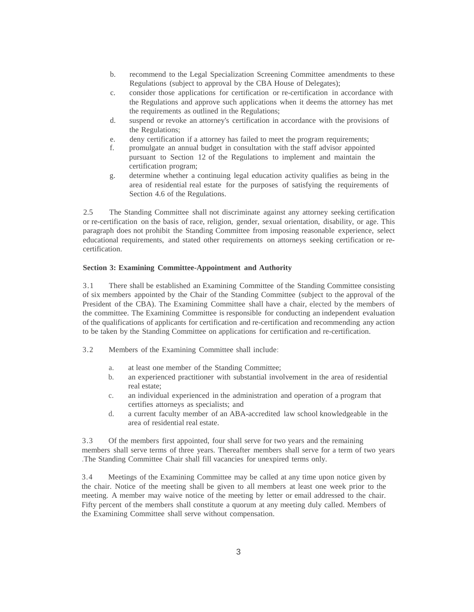- b. recommend to the Legal Specialization Screening Committee amendments to these Regulations (subject to approval by the CBA House of Delegates);
- c. consider those applications for certification or re-certification in accordance with the Regulations and approve such applications when it deems the attorney has met the requirements as outlined in the Regulations;
- d. suspend or revoke an attorney's certification in accordance with the provisions of the Regulations;
- e. deny certification if a attorney has failed to meet the program requirements;
- f. promulgate an annual budget in consultation with the staff advisor appointed pursuant to Section 12 of the Regulations to implement and maintain the certification program;
- g. determine whether a continuing legal education activity qualifies as being in the area of residential real estate for the purposes of satisfying the requirements of Section 4.6 of the Regulations.

2.5 The Standing Committee shall not discriminate against any attorney seeking certification or re-certification on the basis of race, religion, gender, sexual orientation, disability, or age. This paragraph does not prohibit the Standing Committee from imposing reasonable experience, select educational requirements, and stated other requirements on attorneys seeking certification or recertification.

# **Section 3: Examining Committee-Appointment and Authority**

3.1 There shall be established an Examining Committee of the Standing Committee consisting of six members appointed by the Chair of the Standing Committee (subject to the approval of the President of the CBA). The Examining Committee shall have a chair, elected by the members of the committee. The Examining Committee is responsible for conducting an independent evaluation of the qualifications of applicants for certification and re-certification and recommending any action to be taken by the Standing Committee on applications for certification and re-certification.

- 3.2 Members of the Examining Committee shall include:
	- a. at least one member of the Standing Committee;
	- b. an experienced practitioner with substantial involvement in the area of residential real estate;
	- c. an individual experienced in the administration and operation of a program that certifies attorneys as specialists; and
	- d. a current faculty member of an ABA-accredited law school knowledgeable in the area of residential real estate.

3.3 Of the members first appointed, four shall serve for two years and the remaining members shall serve terms of three years. Thereafter members shall serve for a term of two years .The Standing Committee Chair shall fill vacancies for unexpired terms only.

3.4 Meetings of the Examining Committee may be called at any time upon notice given by the chair. Notice of the meeting shall be given to all members at least one week prior to the meeting. A member may waive notice of the meeting by letter or email addressed to the chair. Fifty percent of the members shall constitute a quorum at any meeting duly called. Members of the Examining Committee shall serve without compensation.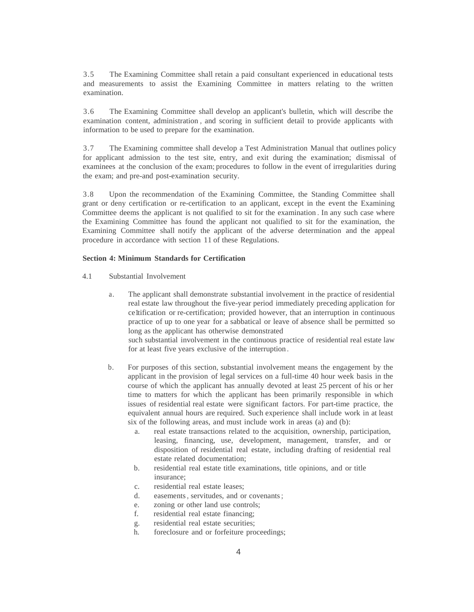3.5 The Examining Committee shall retain a paid consultant experienced in educational tests and measurements to assist the Examining Committee in matters relating to the written examination.

3.6 The Examining Committee shall develop an applicant's bulletin, which will describe the examination content, administration , and scoring in sufficient detail to provide applicants with information to be used to prepare for the examination.

3.7 The Examining committee shall develop a Test Administration Manual that outlines policy for applicant admission to the test site, entry, and exit during the examination; dismissal of examinees at the conclusion of the exam; procedures to follow in the event of irregularities during the exam; and pre-and post-examination security.

3.8 Upon the recommendation of the Examining Committee, the Standing Committee shall grant or deny certification or re-certification to an applicant, except in the event the Examining Committee deems the applicant is not qualified to sit for the examination . In any such case where the Examining Committee has found the applicant not qualified to sit for the examination, the Examining Committee shall notify the applicant of the adverse determination and the appeal procedure in accordance with section 11 of these Regulations.

#### **Section 4: Minimum Standards for Certification**

- 4.1 Substantial Involvement
	- a. The applicant shall demonstrate substantial involvement in the practice of residential real estate law throughout the five-year period immediately preceding application for celtification or re-certification; provided however, that an interruption in continuous practice of up to one year for a sabbatical or leave of absence shall be permitted so long as the applicant has otherwise demonstrated

such substantial involvement in the continuous practice of residential real estate law for at least five years exclusive of the interruption .

- b. For purposes of this section, substantial involvement means the engagement by the applicant in the provision of legal services on a full-time 40 hour week basis in the course of which the applicant has annually devoted at least 25 percent of his or her time to matters for which the applicant has been primarily responsible in which issues of residential real estate were significant factors. For part-time practice, the equivalent annual hours are required. Such experience shall include work in at least six of the following areas, and must include work in areas (a) and (b):
	- a. real estate transactions related to the acquisition, ownership, participation, leasing, financing, use, development, management, transfer, and or disposition of residential real estate, including drafting of residential real estate related documentation;
	- b. residential real estate title examinations, title opinions, and or title insurance;
	- c. residential real estate leases;
	- d. easements, servitudes, and or covenants;
	- e. zoning or other land use controls;
	- f. residential real estate financing;
	- g. residential real estate securities;
	- h. foreclosure and or forfeiture proceedings;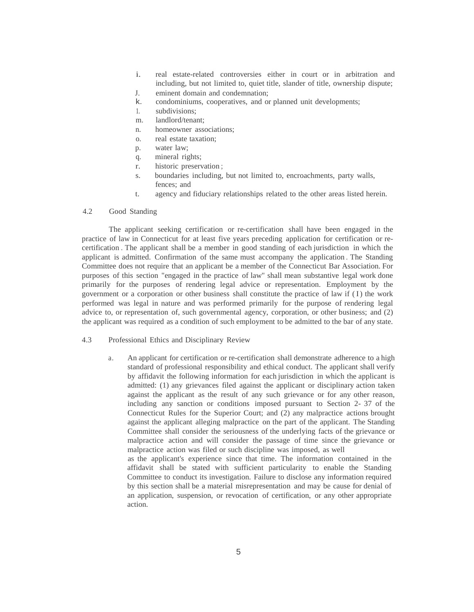- i. real estate-related controversies either in court or in arbitration and including, but not limited to, quiet title, slander of title, ownership dispute;
- J. eminent domain and condemnation;
- k. condominiums, cooperatives, and or planned unit developments;
- 1. subdivisions;
- m. landlord/tenant;
- n. homeowner associations;
- o. real estate taxation;
- p. water law;
- q. mineral rights;
- r. historic preservation ;
- s. boundaries including, but not limited to, encroachments, party walls, fences; and
- t. agency and fiduciary relationships related to the other areas listed herein.

#### 4.2 Good Standing

The applicant seeking certification or re-certification shall have been engaged in the practice of law in Connecticut for at least five years preceding application for certification or recertification . The applicant shall be a member in good standing of each jurisdiction in which the applicant is admitted. Confirmation of the same must accompany the application . The Standing Committee does not require that an applicant be a member of the Connecticut Bar Association. For purposes of this section "engaged in the practice of law" shall mean substantive legal work done primarily for the purposes of rendering legal advice or representation. Employment by the government or a corporation or other business shall constitute the practice of law if ( I) the work performed was legal in nature and was performed primarily for the purpose of rendering legal advice to, or representation of, such governmental agency, corporation, or other business; and (2) the applicant was required as a condition of such employment to be admitted to the bar of any state.

# 4.3 Professional Ethics and Disciplinary Review

a. An applicant for certification or re-certification shall demonstrate adherence to a high standard of professional responsibility and ethical conduct. The applicant shall verify by affidavit the following information for each jurisdiction in which the applicant is admitted: (1) any grievances filed against the applicant or disciplinary action taken against the applicant as the result of any such grievance or for any other reason, including any sanction or conditions imposed pursuant to Section 2- 37 of the Connecticut Rules for the Superior Court; and (2) any malpractice actions brought against the applicant alleging malpractice on the part of the applicant. The Standing Committee shall consider the seriousness of the underlying facts of the grievance or malpractice action and will consider the passage of time since the grievance or malpractice action was filed or such discipline was imposed, as well as the applicant's experience since that time. The information contained in the

affidavit shall be stated with sufficient particularity to enable the Standing Committee to conduct its investigation. Failure to disclose any information required by this section shall be a material misrepresentation and may be cause for denial of an application, suspension, or revocation of certification, or any other appropriate action.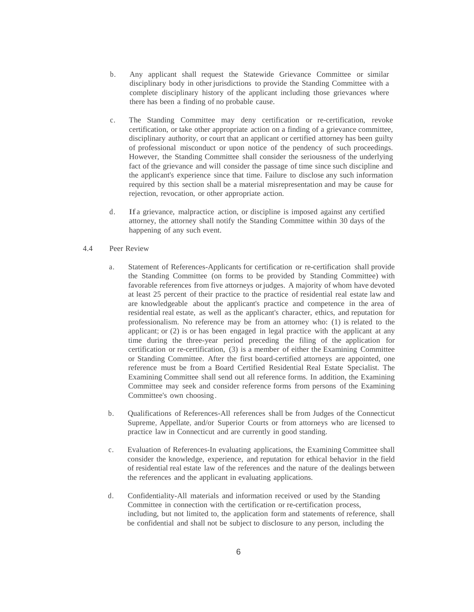- b. Any applicant shall request the Statewide Grievance Committee or similar disciplinary body in other jurisdictions to provide the Standing Committee with a complete disciplinary history of the applicant including those grievances where there has been a finding of no probable cause.
- c. The Standing Committee may deny certification or re-certification, revoke certification, or take other appropriate action on a finding of a grievance committee, disciplinary authority, or court that an applicant or certified attorney has been guilty of professional misconduct or upon notice of the pendency of such proceedings. However, the Standing Committee shall consider the seriousness of the underlying fact of the grievance and will consider the passage of time since such discipline and the applicant's experience since that time. Failure to disclose any such information required by this section shall be a material misrepresentation and may be cause for rejection, revocation, or other appropriate action.
- d. If a grievance, malpractice action, or discipline is imposed against any certified attorney, the attorney shall notify the Standing Committee within 30 days of the happening of any such event.
- 4.4 Peer Review
	- a. Statement of References-Applicants for certification or re-certification shall provide the Standing Committee (on forms to be provided by Standing Committee) with favorable references from five attorneys orjudges. A majority of whom have devoted at least 25 percent of their practice to the practice of residential real estate law and are knowledgeable about the applicant's practice and competence in the area of residential real estate, as well as the applicant's character, ethics, and reputation for professionalism. No reference may be from an attorney who: (1) is related to the applicant; or (2) is or has been engaged in legal practice with the applicant at any time during the three-year period preceding the filing of the application for certification or re-certification, (3) is a member of either the Examining Committee or Standing Committee. After the first board-certified attorneys are appointed, one reference must be from a Board Certified Residential Real Estate Specialist. The Examining Committee shall send out all reference forms. In addition, the Examining Committee may seek and consider reference forms from persons of the Examining Committee's own choosing.
	- b. Qualifications of References-All references shall be from Judges of the Connecticut Supreme, Appellate, and/or Superior Courts or from attorneys who are licensed to practice law in Connecticut and are currently in good standing.
	- c. Evaluation of References-In evaluating applications, the Examining Committee shall consider the knowledge, experience, and reputation for ethical behavior in the field of residential real estate law of the references and the nature of the dealings between the references and the applicant in evaluating applications.
	- d. Confidentiality-All materials and information received or used by the Standing Committee in connection with the certification or re-certification process, including, but not limited to, the application form and statements of reference, shall be confidential and shall not be subject to disclosure to any person, including the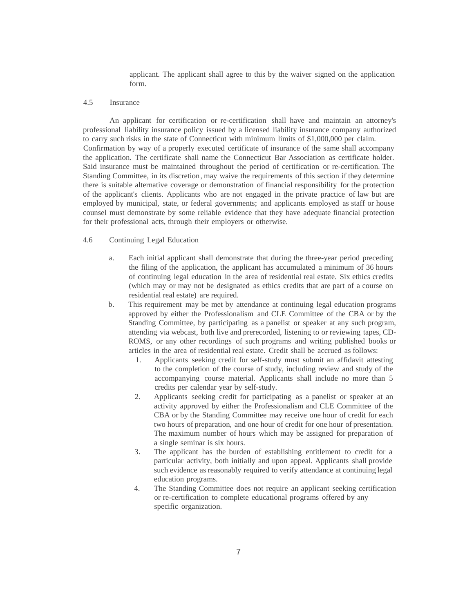applicant. The applicant shall agree to this by the waiver signed on the application form.

## 4.5 Insurance

An applicant for certification or re-certification shall have and maintain an attorney's professional liability insurance policy issued by a licensed liability insurance company authorized to carry such risks in the state of Connecticut with minimum limits of \$1,000,000 per claim. Confirmation by way of a properly executed certificate of insurance of the same shall accompany the application. The certificate shall name the Connecticut Bar Association as certificate holder. Said insurance must be maintained throughout the period of certification or re-certification. The Standing Committee, in its discretion, may waive the requirements of this section if they determine there is suitable alternative coverage or demonstration of financial responsibility for the protection of the applicant's clients. Applicants who are not engaged in the private practice of law but are employed by municipal, state, or federal governments; and applicants employed as staff or house counsel must demonstrate by some reliable evidence that they have adequate financial protection for their professional acts, through their employers or otherwise.

#### 4.6 Continuing Legal Education

- a. Each initial applicant shall demonstrate that during the three-year period preceding the filing of the application, the applicant has accumulated a minimum of 36 hours of continuing legal education in the area of residential real estate. Six ethics credits (which may or may not be designated as ethics credits that are part of a course on residential real estate) are required.
- b. This requirement may be met by attendance at continuing legal education programs approved by either the Professionalism and CLE Committee of the CBA or by the Standing Committee, by participating as a panelist or speaker at any such program, attending via webcast, both live and prerecorded, listening to or reviewing tapes, CD-ROMS, or any other recordings of such programs and writing published books or articles in the area of residential real estate. Credit shall be accrued as follows:
	- 1. Applicants seeking credit for self-study must submit an affidavit attesting to the completion of the course of study, including review and study of the accompanying course material. Applicants shall include no more than 5 credits per calendar year by self-study.
	- 2. Applicants seeking credit for participating as a panelist or speaker at an activity approved by either the Professionalism and CLE Committee of the CBA or by the Standing Committee may receive one hour of credit for each two hours of preparation, and one hour of credit for one hour of presentation. The maximum number of hours which may be assigned for preparation of a single seminar is six hours.
	- 3. The applicant has the burden of establishing entitlement to credit for a particular activity, both initially and upon appeal. Applicants shall provide such evidence as reasonably required to verify attendance at continuing legal education programs.
	- 4. The Standing Committee does not require an applicant seeking certification or re-certification to complete educational programs offered by any specific organization.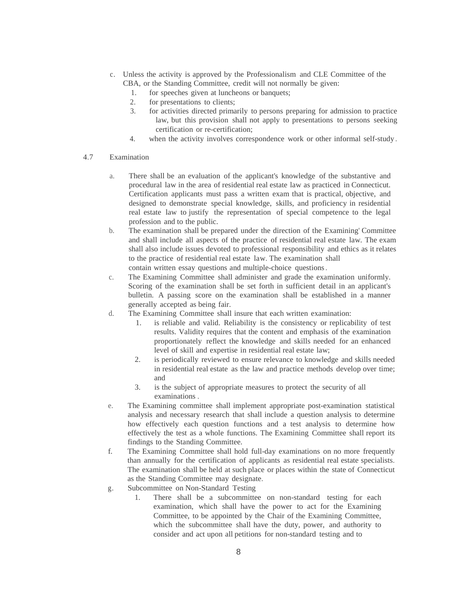- c. Unless the activity is approved by the Professionalism and CLE Committee of the CBA, or the Standing Committee, credit will not normally be given:
	- 1. for speeches given at luncheons or banquets;
	- 2. for presentations to clients;
	- 3. for activities directed primarily to persons preparing for admission to practice law, but this provision shall not apply to presentations to persons seeking certification or re-certification;
	- 4. when the activity involves correspondence work or other informal self-study .
- 4.7 Examination
	- a. There shall be an evaluation of the applicant's knowledge of the substantive and procedural law in the area of residential real estate law as practiced in Connecticut. Certification applicants must pass a written exam that is practical, objective, and designed to demonstrate special knowledge, skills, and proficiency in residential real estate law to justify the representation of special competence to the legal profession and to the public.
	- b. The examination shall be prepared under the direction of the Examining' Committee and shall include all aspects of the practice of residential real estate law. The exam shall also include issues devoted to professional responsibility and ethics as it relates to the practice of residential real estate law. The examination shall contain written essay questions and multiple-choice questions.
	- c. The Examining Committee shall administer and grade the examination uniformly. Scoring of the examination shall be set forth in sufficient detail in an applicant's bulletin. A passing score on the examination shall be established in a manner generally accepted as being fair.
	- d. The Examining Committee shall insure that each written examination:
		- 1. is reliable and valid. Reliability is the consistency or replicability of test results. Validity requires that the content and emphasis of the examination proportionately reflect the knowledge and skills needed for an enhanced level of skill and expertise in residential real estate law;
		- 2. is periodically reviewed to ensure relevance to knowledge and skills needed in residential real estate as the law and practice methods develop over time; and
		- 3. is the subject of appropriate measures to protect the security of all examinations .
	- e. The Examining committee shall implement appropriate post-examination statistical analysis and necessary research that shall include a question analysis to determine how effectively each question functions and a test analysis to determine how effectively the test as a whole functions. The Examining Committee shall report its findings to the Standing Committee.
	- f. The Examining Committee shall hold full-day examinations on no more frequently than annually for the certification of applicants as residential real estate specialists. The examination shall be held at such place or places within the state of Connecticut as the Standing Committee may designate.
	- g. Subcommittee on Non-Standard Testing
		- 1. There shall be a subcommittee on non-standard testing for each examination, which shall have the power to act for the Examining Committee, to be appointed by the Chair of the Examining Committee, which the subcommittee shall have the duty, power, and authority to consider and act upon all petitions for non-standard testing and to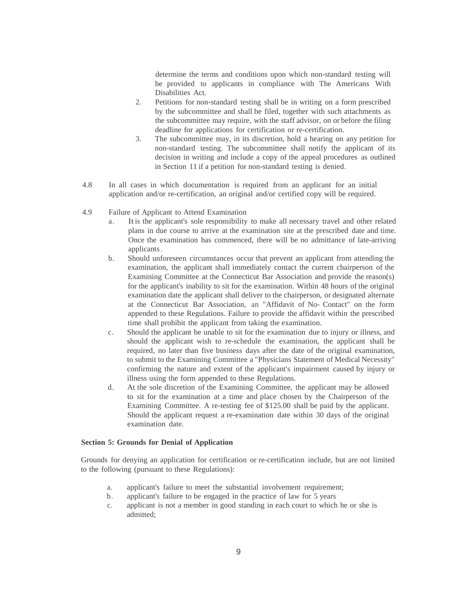determine the terms and conditions upon which non-standard testing will be provided to applicants in compliance with The Americans With Disabilities Act.

- 2. Petitions for non-standard testing shall be in writing on a form prescribed by the subcommittee and shall be filed, together with such attachments as the subcommittee may require, with the staff advisor, on or before the filing deadline for applications for certification or re-certification.
- 3. The subcommittee may, in its discretion, hold a hearing on any petition for non-standard testing. The subcommittee shall notify the applicant of its decision in writing and include a copy of the appeal procedures as outlined in Section 11 if a petition for non-standard testing is denied.
- 4.8 In all cases in which documentation is required from an applicant for an initial application and/or re-certification, an original and/or certified copy will be required.
- 4.9 Failure of Applicant to Attend Examination
	- a. Itis the applicant's sole responsibility to make all necessary travel and other related plans in due course to arrive at the examination site at the prescribed date and time. Once the examination has commenced, there will be no admittance of late-arriving applicants.
	- b. Should unforeseen circumstances occur that prevent an applicant from attending the examination, the applicant shall immediately contact the current chairperson of the Examining Committee at the Connecticut Bar Association and provide the reason(s) for the applicant's inability to sit for the examination. Within 48 hours of the original examination date the applicant shall deliver to the chairperson, or designated alternate at the Connecticut Bar Association, an "Affidavit of No- Contact" on the form appended to these Regulations. Failure to provide the affidavit within the prescribed time shall prohibit the applicant from taking the examination.
	- c. Should the applicant be unable to sit for the examination due to injury or illness, and should the applicant wish to re-schedule the examination, the applicant shall be required, no later than five business days after the date of the original examination, to submit to the Examining Committee a "Physicians Statement of Medical Necessity" confirming the nature and extent of the applicant's impairment caused by injury or illness using the form appended to these Regulations.
	- d. At the sole discretion of the Examining Committee, the applicant may be allowed to sit for the examination at a time and place chosen by the Chairperson of the Examining Committee. A re-testing fee of \$125.00 shall be paid by the applicant. Should the applicant request a re-examination date within 30 days of the original examination date.

#### **Section 5: Grounds for Denial of Application**

Grounds for denying an application for certification or re-certification include, but are not limited to the following (pursuant to these Regulations):

- a. applicant's failure to meet the substantial involvement requirement;
- b. applicant's failure to be engaged in the practice of law for 5 years
- c. applicant is not a member in good standing in each court to which he or she is admitted;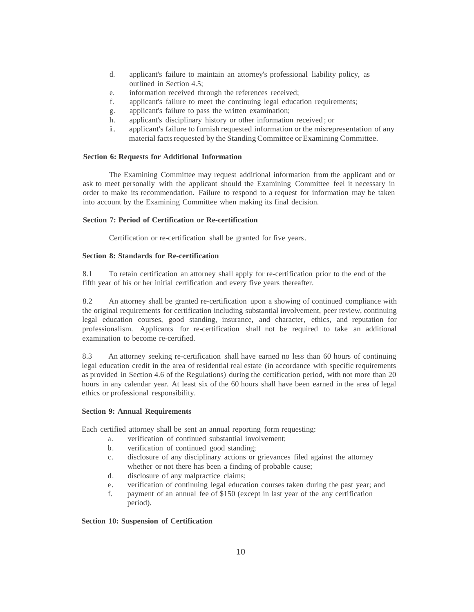- d. applicant's failure to maintain an attorney's professional liability policy, as outlined in Section 4.5;
- e. information received through the references received;
- f. applicant's failure to meet the continuing legal education requirements;
- g. applicant's failure to pass the written examination;
- h. applicant's disciplinary history or other information received ; or
- i. applicant's failure to furnish requested information or the misrepresentation of any material facts requested by the Standing Committee or Examining Committee.

# **Section 6: Requests for Additional Information**

The Examining Committee may request additional information from the applicant and or ask to meet personally with the applicant should the Examining Committee feel it necessary in order to make its recommendation. Failure to respond to a request for information may be taken into account by the Examining Committee when making its final decision.

## **Section 7: Period of Certification or Re-certification**

Certification or re-certification shall be granted for five years.

# **Section 8: Standards for Re-certification**

8.1 To retain certification an attorney shall apply for re-certification prior to the end of the fifth year of his or her initial certification and every five years thereafter.

8.2 An attorney shall be granted re-certification upon a showing of continued compliance with the original requirements for certification including substantial involvement, peer review, continuing legal education courses, good standing, insurance, and character, ethics, and reputation for professionalism. Applicants for re-certification shall not be required to take an additional examination to become re-certified.

8.3 An attorney seeking re-certification shall have earned no less than 60 hours of continuing legal education credit in the area of residential real estate (in accordance with specific requirements as provided in Section 4.6 of the Regulations) during the certification period, with not more than 20 hours in any calendar year. At least six of the 60 hours shall have been earned in the area of legal ethics or professional responsibility.

#### **Section 9: Annual Requirements**

Each certified attorney shall be sent an annual reporting form requesting:

- a. verification of continued substantial involvement;
- b. verification of continued good standing;
- c. disclosure of any disciplinary actions or grievances filed against the attorney whether or not there has been a finding of probable cause;
- d. disclosure of any malpractice claims;
- e. verification of continuing legal education courses taken during the past year; and
- f. payment of an annual fee of \$150 (except in last year of the any certification period).

## **Section 10: Suspension of Certification**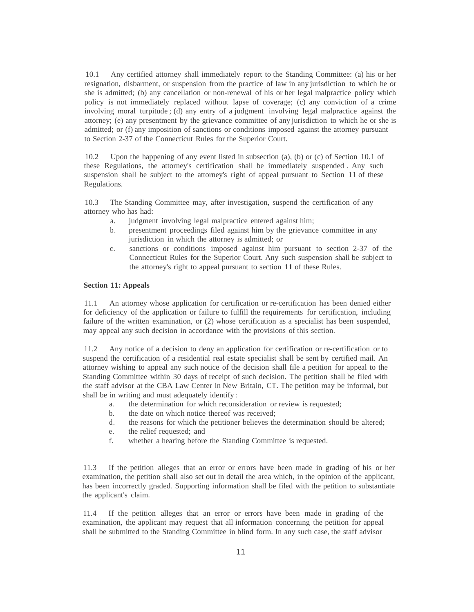10.1 Any certified attorney shall immediately report to the Standing Committee: (a) his or her resignation, disbarment, or suspension from the practice of law in any jurisdiction to which he or she is admitted; (b) any cancellation or non-renewal of his or her legal malpractice policy which policy is not immediately replaced without lapse of coverage; (c) any conviction of a crime involving moral turpitude ; (d) any entry of a judgment involving legal malpractice against the attorney; (e) any presentment by the grievance committee of any jurisdiction to which he or she is admitted; or (f) any imposition of sanctions or conditions imposed against the attorney pursuant to Section 2-37 of the Connecticut Rules for the Superior Court.

10.2 Upon the happening of any event listed in subsection (a), (b) or (c) of Section 10.1 of these Regulations, the attorney's certification shall be immediately suspended . Any such suspension shall be subject to the attorney's right of appeal pursuant to Section 11 of these Regulations.

10.3 The Standing Committee may, after investigation, suspend the certification of any attorney who has had:

- a. judgment involving legal malpractice entered against him;
- b. presentment proceedings filed against him by the grievance committee in any jurisdiction in which the attorney is admitted; or
- c. sanctions or conditions imposed against him pursuant to section 2-37 of the Connecticut Rules for the Superior Court. Any such suspension shall be subject to the attorney's right to appeal pursuant to section **11** of these Rules.

#### **Section 11: Appeals**

11.1 An attorney whose application for certification or re-certification has been denied either for deficiency of the application or failure to fulfill the requirements for certification, including failure of the written examination, or (2) whose certification as a specialist has been suspended, may appeal any such decision in accordance with the provisions of this section.

11.2 Any notice of a decision to deny an application for certification or re-certification or to suspend the certification of a residential real estate specialist shall be sent by certified mail. An attorney wishing to appeal any such notice of the decision shall file a petition for appeal to the Standing Committee within 30 days of receipt of such decision. The petition shall be filed with the staff advisor at the CBA Law Center in New Britain, CT. The petition may be informal, but shall be in writing and must adequately identify :

- a. the determination for which reconsideration or review is requested;
- b. the date on which notice thereof was received;
- d. the reasons for which the petitioner believes the determination should be altered;
- e. the relief requested; and
- f. whether a hearing before the Standing Committee is requested.

11.3 If the petition alleges that an error or errors have been made in grading of his or her examination, the petition shall also set out in detail the area which, in the opinion of the applicant, has been incorrectly graded. Supporting information shall be filed with the petition to substantiate the applicant's claim.

11.4 If the petition alleges that an error or errors have been made in grading of the examination, the applicant may request that all information concerning the petition for appeal shall be submitted to the Standing Committee in blind form. In any such case, the staff advisor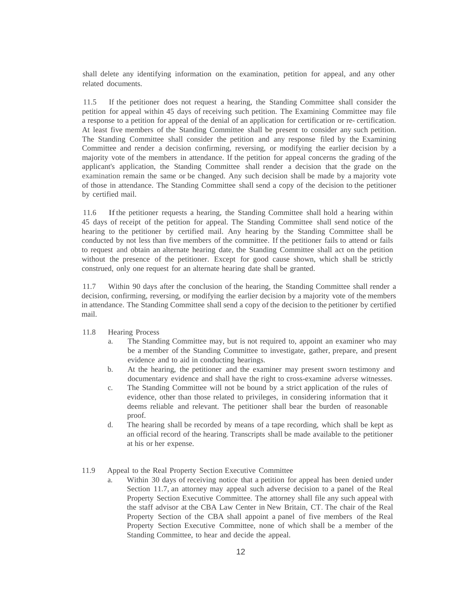shall delete any identifying information on the examination, petition for appeal, and any other related documents.

11.5 If the petitioner does not request a hearing, the Standing Committee shall consider the petition for appeal within 45 days of receiving such petition. The Examining Committee may file a response to a petition for appeal of the denial of an application for certification or re- certification. At least five members of the Standing Committee shall be present to consider any such petition. The Standing Committee shall consider the petition and any response filed by the Examining Committee and render a decision confirming, reversing, or modifying the earlier decision by a majority vote of the members in attendance. If the petition for appeal concerns the grading of the applicant's application, the Standing Committee shall render a decision that the grade on the examination remain the same or be changed. Any such decision shall be made by a majority vote of those in attendance. The Standing Committee shall send a copy of the decision to the petitioner by certified mail.

11.6 Ifthe petitioner requests a hearing, the Standing Committee shall hold a hearing within 45 days of receipt of the petition for appeal. The Standing Committee shall send notice of the hearing to the petitioner by certified mail. Any hearing by the Standing Committee shall be conducted by not less than five members of the committee. If the petitioner fails to attend or fails to request and obtain an alternate hearing date, the Standing Committee shall act on the petition without the presence of the petitioner. Except for good cause shown, which shall be strictly construed, only one request for an alternate hearing date shall be granted.

11.7 Within 90 days after the conclusion of the hearing, the Standing Committee shall render a decision, confirming, reversing, or modifying the earlier decision by a majority vote of the members in attendance. The Standing Committee shall send a copy of the decision to the petitioner by certified mail.

## 11.8 Hearing Process

- a. The Standing Committee may, but is not required to, appoint an examiner who may be a member of the Standing Committee to investigate, gather, prepare, and present evidence and to aid in conducting hearings.
- b. At the hearing, the petitioner and the examiner may present sworn testimony and documentary evidence and shall have the right to cross-examine adverse witnesses.
- c. The Standing Committee will not be bound by a strict application of the rules of evidence, other than those related to privileges, in considering information that it deems reliable and relevant. The petitioner shall bear the burden of reasonable proof.
- d. The hearing shall be recorded by means of a tape recording, which shall be kept as an official record of the hearing. Transcripts shall be made available to the petitioner at his or her expense.
- 11.9 Appeal to the Real Property Section Executive Committee
	- a. Within 30 days of receiving notice that a petition for appeal has been denied under Section 11.7, an attorney may appeal such adverse decision to a panel of the Real Property Section Executive Committee. The attorney shall file any such appeal with the staff advisor at the CBA Law Center in New Britain, CT. The chair of the Real Property Section of the CBA shall appoint a panel of five members of the Real Property Section Executive Committee, none of which shall be a member of the Standing Committee, to hear and decide the appeal.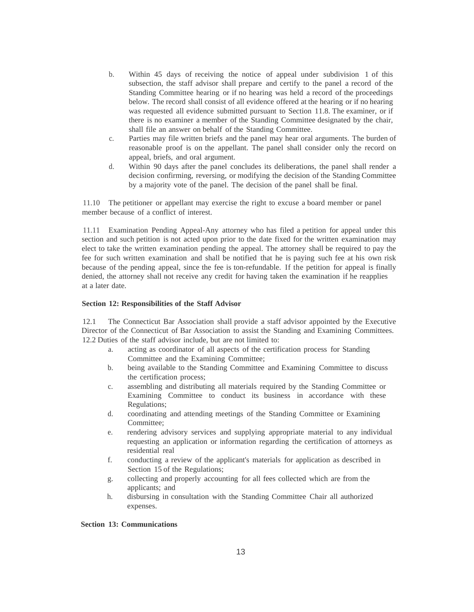- b. Within 45 days of receiving the notice of appeal under subdivision 1 of this subsection, the staff advisor shall prepare and certify to the panel a record of the Standing Committee hearing or if no hearing was held a record of the proceedings below. The record shall consist of all evidence offered at the hearing or if no hearing was requested all evidence submitted pursuant to Section 11.8. The examiner, or if there is no examiner a member of the Standing Committee designated by the chair, shall file an answer on behalf of the Standing Committee.
- c. Parties may file written briefs and the panel may hear oral arguments. The burden of reasonable proof is on the appellant. The panel shall consider only the record on appeal, briefs, and oral argument.
- d. Within 90 days after the panel concludes its deliberations, the panel shall render a decision confirming, reversing, or modifying the decision of the Standing Committee by a majority vote of the panel. The decision of the panel shall be final.

11.10 The petitioner or appellant may exercise the right to excuse a board member or panel member because of a conflict of interest.

11.11 Examination Pending Appeal-Any attorney who has filed a petition for appeal under this section and such petition is not acted upon prior to the date fixed for the written examination may elect to take the written examination pending the appeal. The attorney shall be required to pay the fee for such written examination and shall be notified that he is paying such fee at his own risk because of the pending appeal, since the fee is ton-refundable. If the petition for appeal is finally denied, the attorney shall not receive any credit for having taken the examination if he reapplies at a later date.

## **Section 12: Responsibilities of the Staff Advisor**

12.1 The Connecticut Bar Association shall provide a staff advisor appointed by the Executive Director of the Connecticut of Bar Association to assist the Standing and Examining Committees. 12.2 Duties of the staff advisor include, but are not limited to:

- a. acting as coordinator of all aspects of the certification process for Standing Committee and the Examining Committee;
- b. being available to the Standing Committee and Examining Committee to discuss the certification process;
- c. assembling and distributing all materials required by the Standing Committee or Examining Committee to conduct its business in accordance with these Regulations;
- d. coordinating and attending meetings of the Standing Committee or Examining Committee;
- e. rendering advisory services and supplying appropriate material to any individual requesting an application or information regarding the certification of attorneys as residential real
- f. conducting a review of the applicant's materials for application as described in Section 15 of the Regulations;
- g. collecting and properly accounting for all fees collected which are from the applicants; and
- h. disbursing in consultation with the Standing Committee Chair all authorized expenses.

#### **Section 13: Communications**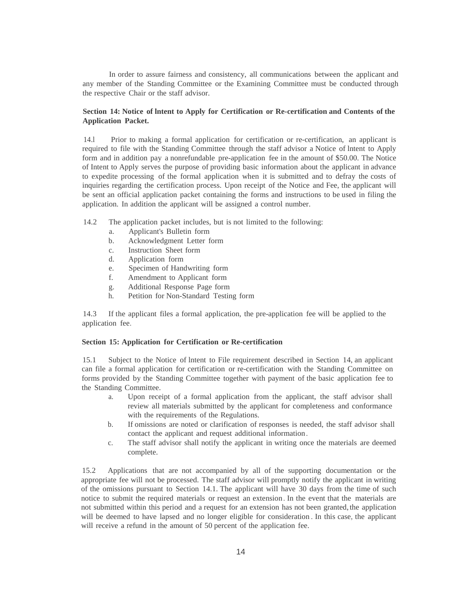In order to assure fairness and consistency, all communications between the applicant and any member of the Standing Committee or the Examining Committee must be conducted through the respective Chair or the staff advisor.

## **Section 14: Notice of lntent to Apply for Certification or Re-certification and Contents of the Application Packet.**

14.l Prior to making a formal application for certification or re-certification, an applicant is required to file with the Standing Committee through the staff advisor a Notice of lntent to Apply form and in addition pay a nonrefundable pre-application fee in the amount of \$50.00. The Notice of Intent to Apply serves the purpose of providing basic information about the applicant in advance to expedite processing of the formal application when it is submitted and to defray the costs of inquiries regarding the certification process. Upon receipt of the Notice and Fee, the applicant will be sent an official application packet containing the forms and instructions to be used in filing the application. In addition the applicant will be assigned a control number.

- 14.2 The application packet includes, but is not limited to the following:
	- a. Applicant's Bulletin form
	- b. Acknowledgment Letter form
	- c. Instruction Sheet form
	- d. Application form
	- e. Specimen of Handwriting form
	- f. Amendment to Applicant form
	- g. Additional Response Page form
	- h. Petition for Non-Standard Testing form

14.3 If the applicant files a formal application, the pre-application fee will be applied to the application fee.

## **Section 15: Application for Certification or Re-certification**

15.1 Subject to the Notice of lntent to File requirement described in Section 14, an applicant can file a formal application for certification or re-certification with the Standing Committee on forms provided by the Standing Committee together with payment of the basic application fee to the Standing Committee.

- a. Upon receipt of a formal application from the applicant, the staff advisor shall review all materials submitted by the applicant for completeness and conformance with the requirements of the Regulations.
- b. If omissions are noted or clarification of responses is needed, the staff advisor shall contact the applicant and request additional information.
- c. The staff advisor shall notify the applicant in writing once the materials are deemed complete.

15.2 Applications that are not accompanied by all of the supporting documentation or the appropriate fee will not be processed. The staff advisor will promptly notify the applicant in writing of the omissions pursuant to Section 14.1. The applicant will have 30 days from the time of such notice to submit the required materials or request an extension. In the event that the materials are not submitted within this period and a request for an extension has not been granted,the application will be deemed to have lapsed and no longer eligible for consideration . In this case, the applicant will receive a refund in the amount of 50 percent of the application fee.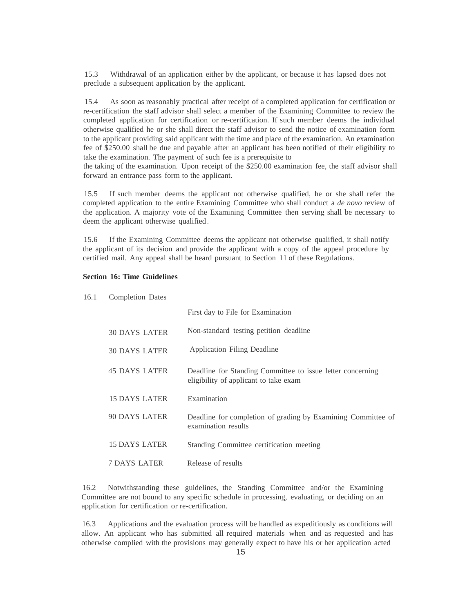15.3 Withdrawal of an application either by the applicant, or because it has lapsed does not preclude a subsequent application by the applicant.

15.4 As soon as reasonably practical after receipt of a completed application for certification or re-certification the staff advisor shall select a member of the Examining Committee to review the completed application for certification or re-certification. If such member deems the individual otherwise qualified he or she shall direct the staff advisor to send the notice of examination form to the applicant providing said applicant with the time and place of the examination. An examination fee of \$250.00 shall be due and payable after an applicant has been notified of their eligibility to take the examination. The payment of such fee is a prerequisite to

the taking of the examination. Upon receipt of the \$250.00 examination fee, the staff advisor shall forward an entrance pass form to the applicant.

15.5 If such member deems the applicant not otherwise qualified, he or she shall refer the completed application to the entire Examining Committee who shall conduct a *de novo* review of the application. A majority vote of the Examining Committee then serving shall be necessary to deem the applicant otherwise qualified .

15.6 If the Examining Committee deems the applicant not otherwise qualified, it shall notify the applicant of its decision and provide the applicant with a copy of the appeal procedure by certified mail. Any appeal shall be heard pursuant to Section 11 of these Regulations.

# **Section 16: Time Guidelines**

|                      | First day to File for Examination                                                                   |
|----------------------|-----------------------------------------------------------------------------------------------------|
| <b>30 DAYS LATER</b> | Non-standard testing petition deadline                                                              |
| <b>30 DAYS LATER</b> | Application Filing Deadline                                                                         |
| <b>45 DAYS LATER</b> | Deadline for Standing Committee to issue letter concerning<br>eligibility of applicant to take exam |
| 15 DAYS LATER        | Examination                                                                                         |
| 90 DAYS LATER        | Deadline for completion of grading by Examining Committee of<br>examination results                 |
| <b>15 DAYS LATER</b> | Standing Committee certification meeting                                                            |
| <b>7 DAYS LATER</b>  | Release of results                                                                                  |

16.2 Notwithstanding these guidelines, the Standing Committee and/or the Examining Committee are not bound to any specific schedule in processing, evaluating, or deciding on an application for certification or re-certification.

16.3 Applications and the evaluation process will be handled as expeditiously as conditions will allow. An applicant who has submitted all required materials when and as requested and has otherwise complied with the provisions may generally expect to have his or her application acted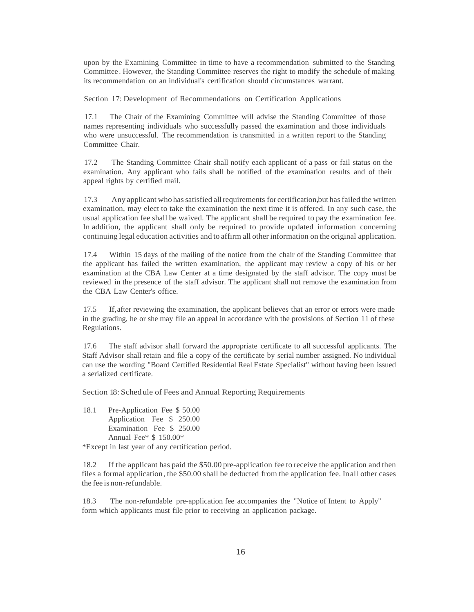upon by the Examining Committee in time to have a recommendation submitted to the Standing Committee . However, the Standing Committee reserves the right to modify the schedule of making its recommendation on an individual's certification should circumstances warrant.

Section 17: Development of Recommendations on Certification Applications

17.1 The Chair of the Examining Committee will advise the Standing Committee of those names representing individuals who successfully passed the examination and those individuals who were unsuccessful. The recommendation is transmitted in a written report to the Standing Committee Chair.

17.2 The Standing Committee Chair shall notify each applicant of a pass or fail status on the examination. Any applicant who fails shall be notified of the examination results and of their appeal rights by certified mail.

17.3 Any applicant who hassatisfied allrequirements for certification,but hasfailed the written examination, may elect to take the examination the next time it is offered. In any such case, the usual application fee shall be waived. The applicant shall be required to pay the examination fee. In addition, the applicant shall only be required to provide updated information concerning continuing legal education activities and to affirm all other information on the original application.

17.4 Within 15 days of the mailing of the notice from the chair of the Standing Committee that the applicant has failed the written examination, the applicant may review a copy of his or her examination at the CBA Law Center at a time designated by the staff advisor. The copy must be reviewed in the presence of the staff advisor. The applicant shall not remove the examination from the CBA Law Center's office.

17.5 If,after reviewing the examination, the applicant believes that an error or errors were made in the grading, he or she may file an appeal in accordance with the provisions of Section 11 of these Regulations.

17.6 The staff advisor shall forward the appropriate certificate to all successful applicants. The Staff Advisor shall retain and file a copy of the certificate by serial number assigned. No individual can use the wording "Board Certified Residential Real Estate Specialist" without having been issued a serialized certificate.

Section 18: Schedule of Fees and Annual Reporting Requirements

18.1 Pre-Application Fee \$ 50.00 Application Fee \$ 250.00 Examination Fee \$ 250.00 Annual Fee\* \$ 150.00\*

\*Except in last year of any certification period.

18.2 If the applicant has paid the \$50.00 pre-application fee to receive the application and then files a formal application, the \$50.00 shall be deducted from the application fee. Inall other cases the fee is non-refundable.

18.3 The non-refundable pre-application fee accompanies the "Notice of Intent to Apply" form which applicants must file prior to receiving an application package.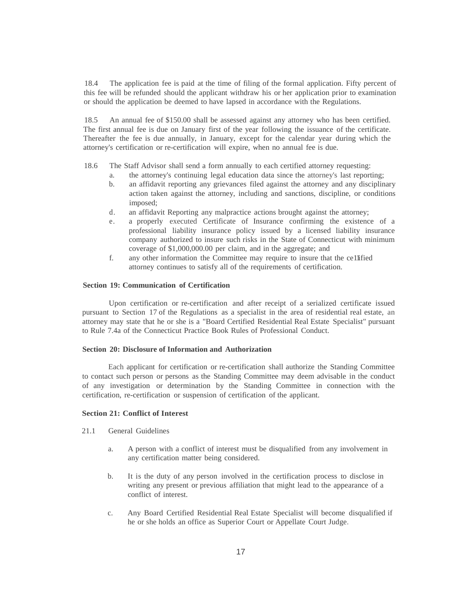18.4 The application fee is paid at the time of filing of the formal application. Fifty percent of this fee will be refunded should the applicant withdraw his or her application prior to examination or should the application be deemed to have lapsed in accordance with the Regulations.

18.5 An annual fee of \$150.00 shall be assessed against any attorney who has been certified. The first annual fee is due on January first of the year following the issuance of the certificate. Thereafter the fee is due annually, in January, except for the calendar year during which the attorney's certification or re-certification will expire, when no annual fee is due.

18.6 The Staff Advisor shall send a form annually to each certified attorney requesting:

- a. the attorney's continuing legal education data since the attorney's last reporting;
- b. an affidavit reporting any grievances filed against the attorney and any disciplinary action taken against the attorney, including and sanctions, discipline, or conditions imposed;
- d. an affidavit Reporting any malpractice actions brought against the attorney;
- e. a properly executed Certificate of Insurance confirming the existence of a professional liability insurance policy issued by a licensed liability insurance company authorized to insure such risks in the State of Connecticut with minimum coverage of \$1,000,000.00 per claim, and in the aggregate; and
- f. any other information the Committee may require to insure that the ce11ified attorney continues to satisfy all of the requirements of certification.

## **Section 19: Communication of Certification**

Upon certification or re-certification and after receipt of a serialized certificate issued pursuant to Section 17 of the Regulations as a specialist in the area of residential real estate, an attorney may state that he or she is a "Board Certified Residential Real Estate Specialist" pursuant to Rule 7.4a of the Connecticut Practice Book Rules of Professional Conduct.

# **Section 20: Disclosure of Information and Authorization**

Each applicant for certification or re-certification shall authorize the Standing Committee to contact such person or persons as the Standing Committee may deem advisable in the conduct of any investigation or determination by the Standing Committee in connection with the certification, re-certification or suspension of certification of the applicant.

# **Section 21: Conflict of Interest**

- 21.1 General Guidelines
	- a. A person with a conflict of interest must be disqualified from any involvement in any certification matter being considered.
	- b. It is the duty of any person involved in the certification process to disclose in writing any present or previous affiliation that might lead to the appearance of a conflict of interest.
	- c. Any Board Certified Residential Real Estate Specialist will become disqualified if he or she holds an office as Superior Court or Appellate Court Judge.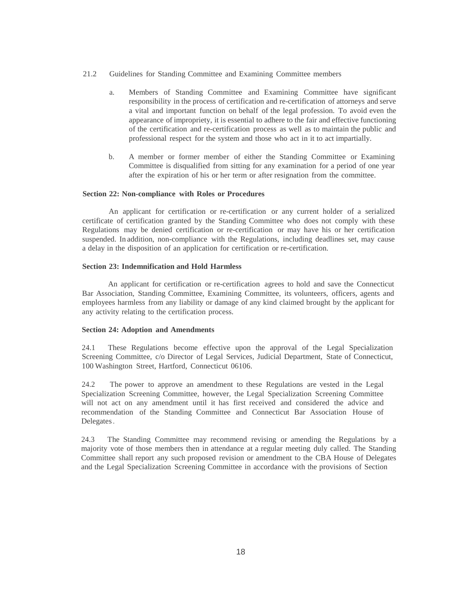- 21.2 Guidelines for Standing Committee and Examining Committee members
	- a. Members of Standing Committee and Examining Committee have significant responsibility in the process of certification and re-certification of attorneys and serve a vital and important function on behalf of the legal profession. To avoid even the appearance of impropriety, it is essential to adhere to the fair and effective functioning of the certification and re-certification process as well as to maintain the public and professional respect for the system and those who act in it to act impartially.
	- b. A member or former member of either the Standing Committee or Examining Committee is disqualified from sitting for any examination for a period of one year after the expiration of his or her term or after resignation from the committee.

#### **Section 22: Non-compliance with Roles or Procedures**

An applicant for certification or re-certification or any current holder of a serialized certificate of certification granted by the Standing Committee who does not comply with these Regulations may be denied certification or re-certification or may have his or her certification suspended. In addition, non-compliance with the Regulations, including deadlines set, may cause a delay in the disposition of an application for certification or re-certification.

## **Section 23: Indemnification and Hold Harmless**

An applicant for certification or re-certification agrees to hold and save the Connecticut Bar Association, Standing Committee, Examining Committee, its volunteers, officers, agents and employees harmless from any liability or damage of any kind claimed brought by the applicant for any activity relating to the certification process.

## **Section 24: Adoption and Amendments**

24.1 These Regulations become effective upon the approval of the Legal Specialization Screening Committee, c/o Director of Legal Services, Judicial Department, State of Connecticut, 100 Washington Street, Hartford, Connecticut 06106.

24.2 The power to approve an amendment to these Regulations are vested in the Legal Specialization Screening Committee, however, the Legal Specialization Screening Committee will not act on any amendment until it has first received and considered the advice and recommendation of the Standing Committee and Connecticut Bar Association House of Delegates.

24.3 The Standing Committee may recommend revising or amending the Regulations by a majority vote of those members then in attendance at a regular meeting duly called. The Standing Committee shall report any such proposed revision or amendment to the CBA House of Delegates and the Legal Specialization Screening Committee in accordance with the provisions of Section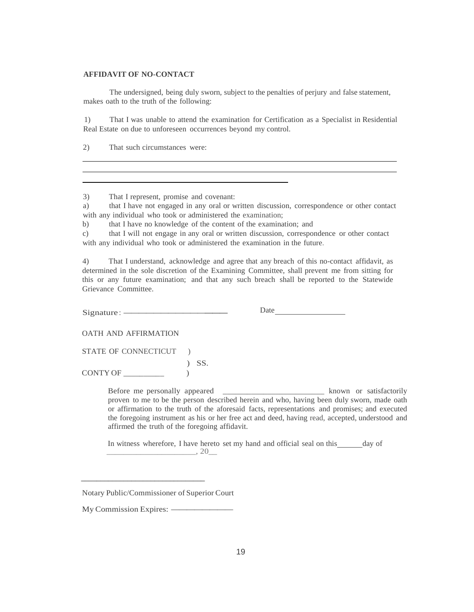## **AFFIDAVIT OF NO-CONTACT**

The undersigned, being duly sworn, subject to the penalties of perjury and false statement, makes oath to the truth of the following:

1) That I was unable to attend the examination for Certification as a Specialist in Residential Real Estate on due to unforeseen occurrences beyond my control.

2) That such circumstances were:

3) That I represent, promise and covenant:

a) that I have not engaged in any oral or written discussion, correspondence or other contact with any individual who took or administered the examination;

b) that I have no knowledge of the content of the examination; and

c) that I will not engage in any oral or written discussion, correspondence or other contact with any individual who took or administered the examination in the future.

4) That I understand, acknowledge and agree that any breach of this no-contact affidavit, as determined in the sole discretion of the Examining Committee, shall prevent me from sitting for this or any future examination; and that any such breach shall be reported to the Statewide Grievance Committee.

 $Signature:$ 

Date

OATH AND AFFIRMATION

STATE OF CONNECTICUT )

 $)$  SS. CONTY OF \_\_\_\_\_\_\_\_\_\_ )

> Before me personally appeared \_\_\_\_\_\_\_\_\_\_\_\_\_\_\_\_\_\_\_\_\_\_\_\_\_ known or satisfactorily proven to me to be the person described herein and who, having been duly sworn, made oath or affirmation to the truth of the aforesaid facts, representations and promises; and executed the foregoing instrument as his or her free act and deed, having read, accepted, understood and affirmed the truth of the foregoing affidavit.

In witness wherefore, I have hereto set my hand and official seal on this \_\_\_\_\_ day of  $\frac{20}{\sqrt{25}}$ 

\_\_\_\_\_\_\_\_\_\_\_\_\_\_\_\_\_\_\_\_\_\_\_\_\_\_\_\_\_\_\_\_

Notary Public/Commissioner of Superior Court My Commission Expires:--------